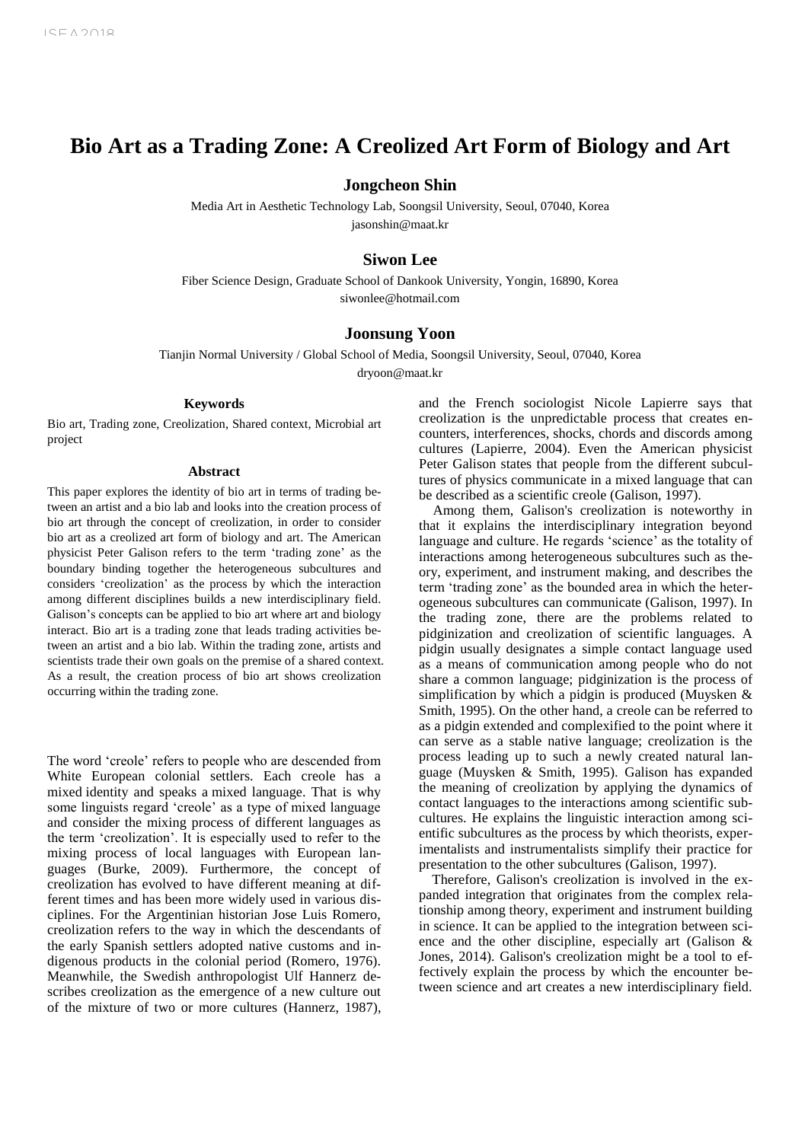# **Bio Art as a Trading Zone: A Creolized Art Form of Biology and Art**

# **Jongcheon Shin**

Media Art in Aesthetic Technology Lab, Soongsil University, Seoul, 07040, Korea jasonshin@maat.kr

# **Siwon Lee**

Fiber Science Design, Graduate School of Dankook University, Yongin, 16890, Korea siwonlee@hotmail.com

# **Joonsung Yoon**

Tianjin Normal University / Global School of Media, Soongsil University, Seoul, 07040, Korea

dryoon@maat.kr

# **Keywords**

Bio art, Trading zone, Creolization, Shared context, Microbial art project

#### **Abstract**

This paper explores the identity of bio art in terms of trading between an artist and a bio lab and looks into the creation process of bio art through the concept of creolization, in order to consider bio art as a creolized art form of biology and art. The American physicist Peter Galison refers to the term 'trading zone' as the boundary binding together the heterogeneous subcultures and considers 'creolization' as the process by which the interaction among different disciplines builds a new interdisciplinary field. Galison's concepts can be applied to bio art where art and biology interact. Bio art is a trading zone that leads trading activities between an artist and a bio lab. Within the trading zone, artists and scientists trade their own goals on the premise of a shared context. As a result, the creation process of bio art shows creolization occurring within the trading zone.

The word 'creole' refers to people who are descended from White European colonial settlers. Each creole has a mixed identity and speaks a mixed language. That is why some linguists regard 'creole' as a type of mixed language and consider the mixing process of different languages as the term 'creolization'. It is especially used to refer to the mixing process of local languages with European languages (Burke, 2009). Furthermore, the concept of creolization has evolved to have different meaning at different times and has been more widely used in various disciplines. For the Argentinian historian Jose Luis Romero, creolization refers to the way in which the descendants of the early Spanish settlers adopted native customs and indigenous products in the colonial period (Romero, 1976). Meanwhile, the Swedish anthropologist Ulf Hannerz describes creolization as the emergence of a new culture out of the mixture of two or more cultures (Hannerz, 1987), and the French sociologist Nicole Lapierre says that creolization is the unpredictable process that creates encounters, interferences, shocks, chords and discords among cultures (Lapierre, 2004). Even the American physicist Peter Galison states that people from the different subcultures of physics communicate in a mixed language that can be described as a scientific creole (Galison, 1997).

Among them, Galison's creolization is noteworthy in that it explains the interdisciplinary integration beyond language and culture. He regards 'science' as the totality of interactions among heterogeneous subcultures such as theory, experiment, and instrument making, and describes the term 'trading zone' as the bounded area in which the heterogeneous subcultures can communicate (Galison, 1997). In the trading zone, there are the problems related to pidginization and creolization of scientific languages. A pidgin usually designates a simple contact language used as a means of communication among people who do not share a common language; pidginization is the process of simplification by which a pidgin is produced (Muysken & Smith, 1995). On the other hand, a creole can be referred to as a pidgin extended and complexified to the point where it can serve as a stable native language; creolization is the process leading up to such a newly created natural language (Muysken & Smith, 1995). Galison has expanded the meaning of creolization by applying the dynamics of contact languages to the interactions among scientific subcultures. He explains the linguistic interaction among scientific subcultures as the process by which theorists, experimentalists and instrumentalists simplify their practice for presentation to the other subcultures (Galison, 1997).

Therefore, Galison's creolization is involved in the expanded integration that originates from the complex relationship among theory, experiment and instrument building in science. It can be applied to the integration between science and the other discipline, especially art (Galison & Jones, 2014). Galison's creolization might be a tool to effectively explain the process by which the encounter between science and art creates a new interdisciplinary field.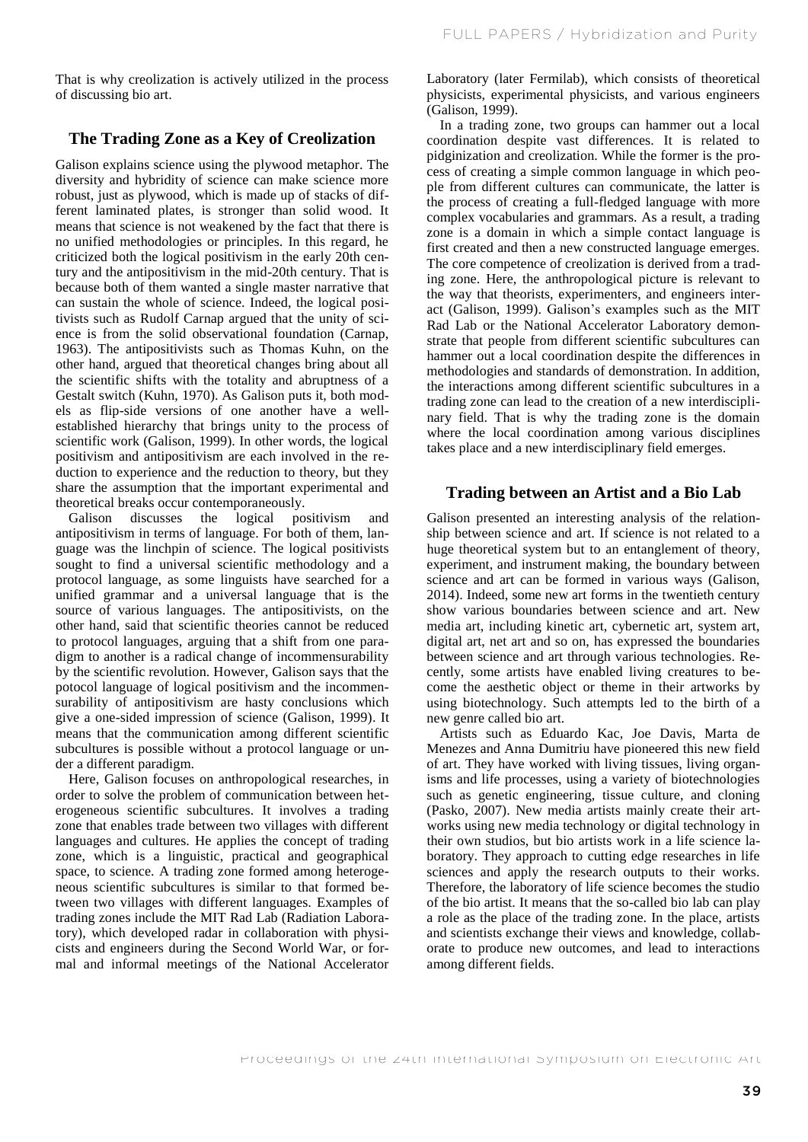That is why creolization is actively utilized in the process of discussing bio art.

# **The Trading Zone as a Key of Creolization**

Galison explains science using the plywood metaphor. The diversity and hybridity of science can make science more robust, just as plywood, which is made up of stacks of different laminated plates, is stronger than solid wood. It means that science is not weakened by the fact that there is no unified methodologies or principles. In this regard, he criticized both the logical positivism in the early 20th century and the antipositivism in the mid-20th century. That is because both of them wanted a single master narrative that can sustain the whole of science. Indeed, the logical positivists such as Rudolf Carnap argued that the unity of science is from the solid observational foundation (Carnap, 1963). The antipositivists such as Thomas Kuhn, on the other hand, argued that theoretical changes bring about all the scientific shifts with the totality and abruptness of a Gestalt switch (Kuhn, 1970). As Galison puts it, both models as flip-side versions of one another have a wellestablished hierarchy that brings unity to the process of scientific work (Galison, 1999). In other words, the logical positivism and antipositivism are each involved in the reduction to experience and the reduction to theory, but they share the assumption that the important experimental and theoretical breaks occur contemporaneously.

Galison discusses the logical positivism and antipositivism in terms of language. For both of them, language was the linchpin of science. The logical positivists sought to find a universal scientific methodology and a protocol language, as some linguists have searched for a unified grammar and a universal language that is the source of various languages. The antipositivists, on the other hand, said that scientific theories cannot be reduced to protocol languages, arguing that a shift from one paradigm to another is a radical change of incommensurability by the scientific revolution. However, Galison says that the potocol language of logical positivism and the incommensurability of antipositivism are hasty conclusions which give a one-sided impression of science (Galison, 1999). It means that the communication among different scientific subcultures is possible without a protocol language or under a different paradigm.

Here, Galison focuses on anthropological researches, in order to solve the problem of communication between heterogeneous scientific subcultures. It involves a trading zone that enables trade between two villages with different languages and cultures. He applies the concept of trading zone, which is a linguistic, practical and geographical space, to science. A trading zone formed among heterogeneous scientific subcultures is similar to that formed between two villages with different languages. Examples of trading zones include the MIT Rad Lab (Radiation Laboratory), which developed radar in collaboration with physicists and engineers during the Second World War, or formal and informal meetings of the National Accelerator

Laboratory (later Fermilab), which consists of theoretical physicists, experimental physicists, and various engineers (Galison, 1999).

In a trading zone, two groups can hammer out a local coordination despite vast differences. It is related to pidginization and creolization. While the former is the process of creating a simple common language in which people from different cultures can communicate, the latter is the process of creating a full-fledged language with more complex vocabularies and grammars. As a result, a trading zone is a domain in which a simple contact language is first created and then a new constructed language emerges. The core competence of creolization is derived from a trading zone. Here, the anthropological picture is relevant to the way that theorists, experimenters, and engineers interact (Galison, 1999). Galison's examples such as the MIT Rad Lab or the National Accelerator Laboratory demonstrate that people from different scientific subcultures can hammer out a local coordination despite the differences in methodologies and standards of demonstration. In addition, the interactions among different scientific subcultures in a trading zone can lead to the creation of a new interdisciplinary field. That is why the trading zone is the domain where the local coordination among various disciplines takes place and a new interdisciplinary field emerges.

## **Trading between an Artist and a Bio Lab**

Galison presented an interesting analysis of the relationship between science and art. If science is not related to a huge theoretical system but to an entanglement of theory, experiment, and instrument making, the boundary between science and art can be formed in various ways (Galison, 2014). Indeed, some new art forms in the twentieth century show various boundaries between science and art. New media art, including kinetic art, cybernetic art, system art, digital art, net art and so on, has expressed the boundaries between science and art through various technologies. Recently, some artists have enabled living creatures to become the aesthetic object or theme in their artworks by using biotechnology. Such attempts led to the birth of a new genre called bio art.

Artists such as Eduardo Kac, Joe Davis, Marta de Menezes and Anna Dumitriu have pioneered this new field of art. They have worked with living tissues, living organisms and life processes, using a variety of biotechnologies such as genetic engineering, tissue culture, and cloning (Pasko, 2007). New media artists mainly create their artworks using new media technology or digital technology in their own studios, but bio artists work in a life science laboratory. They approach to cutting edge researches in life sciences and apply the research outputs to their works. Therefore, the laboratory of life science becomes the studio of the bio artist. It means that the so-called bio lab can play a role as the place of the trading zone. In the place, artists and scientists exchange their views and knowledge, collaborate to produce new outcomes, and lead to interactions among different fields.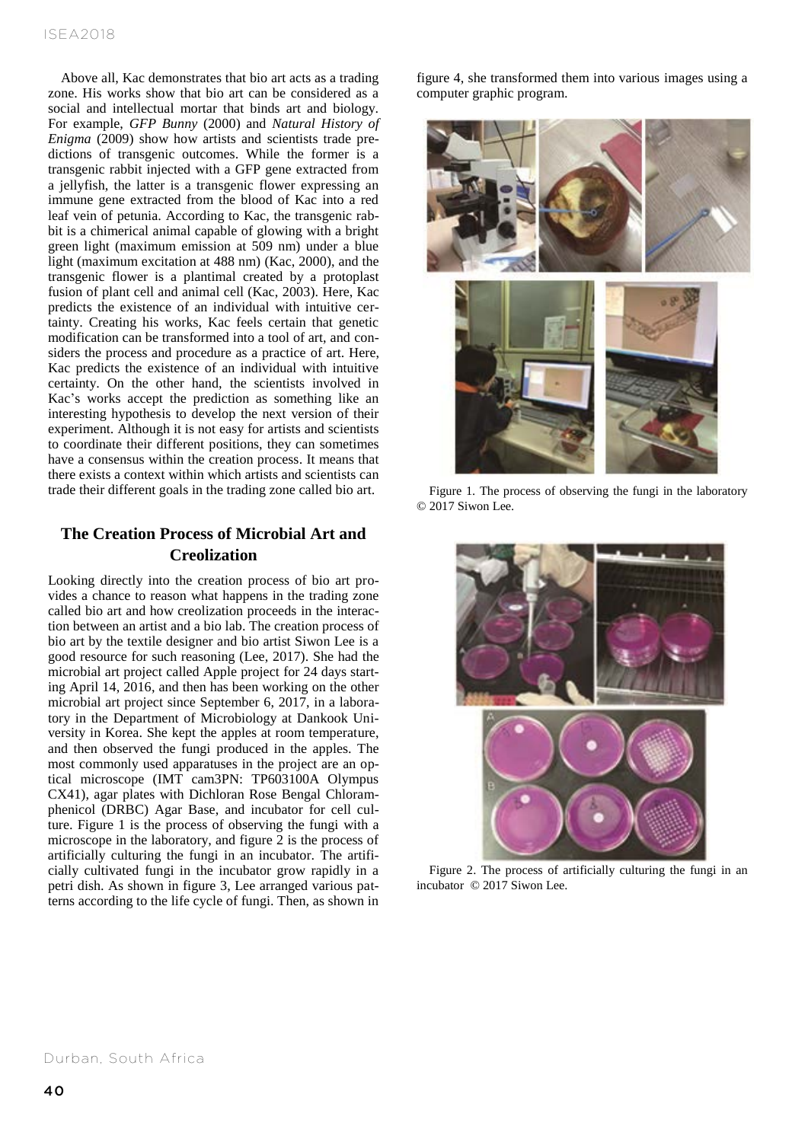Above all, Kac demonstrates that bio art acts as a trading zone. His works show that bio art can be considered as a social and intellectual mortar that binds art and biology. For example, *GFP Bunny* (2000) and *Natural History of Enigma* (2009) show how artists and scientists trade predictions of transgenic outcomes. While the former is a transgenic rabbit injected with a GFP gene extracted from a jellyfish, the latter is a transgenic flower expressing an immune gene extracted from the blood of Kac into a red leaf vein of petunia. According to Kac, the transgenic rabbit is a chimerical animal capable of glowing with a bright green light (maximum emission at 509 nm) under a blue light (maximum excitation at 488 nm) (Kac, 2000), and the transgenic flower is a plantimal created by a protoplast fusion of plant cell and animal cell (Kac, 2003). Here, Kac predicts the existence of an individual with intuitive certainty. Creating his works, Kac feels certain that genetic modification can be transformed into a tool of art, and considers the process and procedure as a practice of art. Here, Kac predicts the existence of an individual with intuitive certainty. On the other hand, the scientists involved in Kac's works accept the prediction as something like an interesting hypothesis to develop the next version of their experiment. Although it is not easy for artists and scientists to coordinate their different positions, they can sometimes have a consensus within the creation process. It means that there exists a context within which artists and scientists can trade their different goals in the trading zone called bio art.

# **The Creation Process of Microbial Art and Creolization**

Looking directly into the creation process of bio art provides a chance to reason what happens in the trading zone called bio art and how creolization proceeds in the interaction between an artist and a bio lab. The creation process of bio art by the textile designer and bio artist Siwon Lee is a good resource for such reasoning (Lee, 2017). She had the microbial art project called Apple project for 24 days starting April 14, 2016, and then has been working on the other microbial art project since September 6, 2017, in a laboratory in the Department of Microbiology at Dankook University in Korea. She kept the apples at room temperature, and then observed the fungi produced in the apples. The most commonly used apparatuses in the project are an optical microscope (IMT cam3PN: TP603100A Olympus CX41), agar plates with Dichloran Rose Bengal Chloramphenicol (DRBC) Agar Base, and incubator for cell culture. Figure 1 is the process of observing the fungi with a microscope in the laboratory, and figure 2 is the process of artificially culturing the fungi in an incubator. The artificially cultivated fungi in the incubator grow rapidly in a petri dish. As shown in figure 3, Lee arranged various patterns according to the life cycle of fungi. Then, as shown in

figure 4, she transformed them into various images using a computer graphic program.



Figure 1. The process of observing the fungi in the laboratory © 2017 Siwon Lee.



Figure 2. The process of artificially culturing the fungi in an incubator © 2017 Siwon Lee.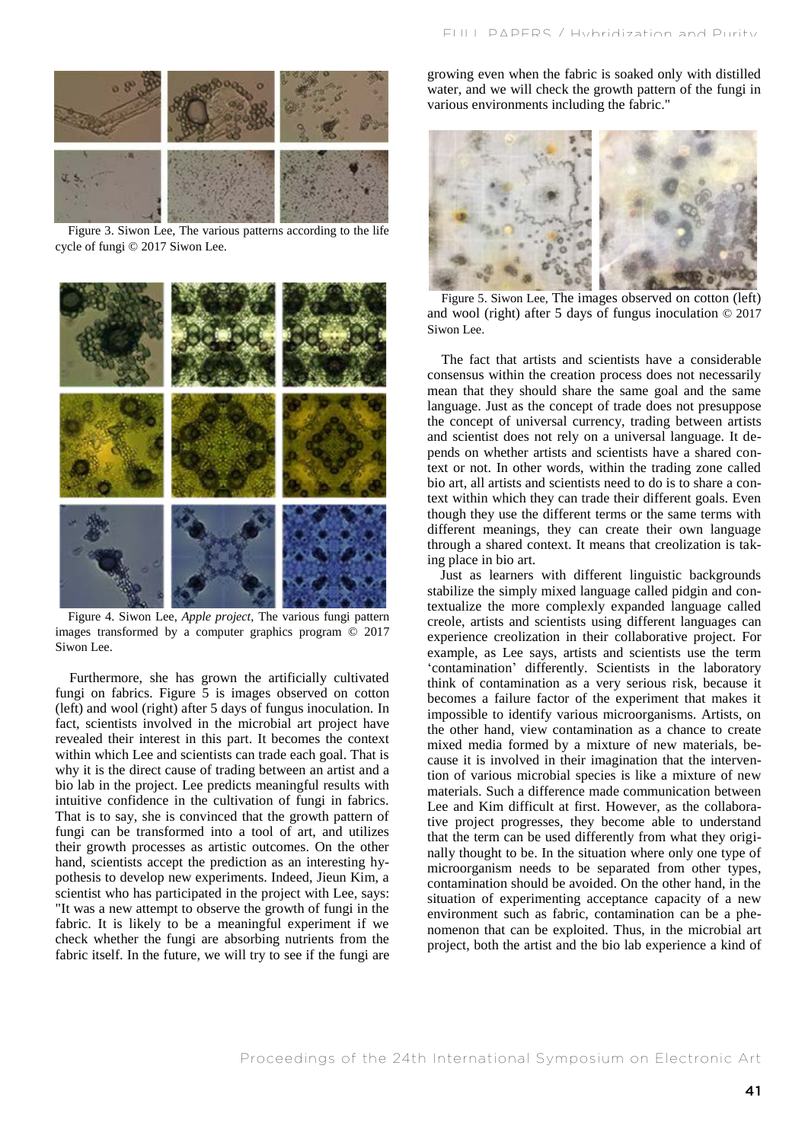

Figure 3. Siwon Lee, The various patterns according to the life cycle of fungi © 2017 Siwon Lee.



Figure 4. Siwon Lee, *Apple project*, The various fungi pattern images transformed by a computer graphics program © 2017 Siwon Lee.

Furthermore, she has grown the artificially cultivated fungi on fabrics. Figure 5 is images observed on cotton (left) and wool (right) after 5 days of fungus inoculation. In fact, scientists involved in the microbial art project have revealed their interest in this part. It becomes the context within which Lee and scientists can trade each goal. That is why it is the direct cause of trading between an artist and a bio lab in the project. Lee predicts meaningful results with intuitive confidence in the cultivation of fungi in fabrics. That is to say, she is convinced that the growth pattern of fungi can be transformed into a tool of art, and utilizes their growth processes as artistic outcomes. On the other hand, scientists accept the prediction as an interesting hypothesis to develop new experiments. Indeed, Jieun Kim, a scientist who has participated in the project with Lee, says: "It was a new attempt to observe the growth of fungi in the fabric. It is likely to be a meaningful experiment if we check whether the fungi are absorbing nutrients from the fabric itself. In the future, we will try to see if the fungi are

growing even when the fabric is soaked only with distilled water, and we will check the growth pattern of the fungi in various environments including the fabric."



Figure 5. Siwon Lee, The images observed on cotton (left) and wool (right) after 5 days of fungus inoculation © 2017 Siwon Lee.

The fact that artists and scientists have a considerable consensus within the creation process does not necessarily mean that they should share the same goal and the same language. Just as the concept of trade does not presuppose the concept of universal currency, trading between artists and scientist does not rely on a universal language. It depends on whether artists and scientists have a shared context or not. In other words, within the trading zone called bio art, all artists and scientists need to do is to share a context within which they can trade their different goals. Even though they use the different terms or the same terms with different meanings, they can create their own language through a shared context. It means that creolization is taking place in bio art.

Just as learners with different linguistic backgrounds stabilize the simply mixed language called pidgin and contextualize the more complexly expanded language called creole, artists and scientists using different languages can experience creolization in their collaborative project. For example, as Lee says, artists and scientists use the term 'contamination' differently. Scientists in the laboratory think of contamination as a very serious risk, because it becomes a failure factor of the experiment that makes it impossible to identify various microorganisms. Artists, on the other hand, view contamination as a chance to create mixed media formed by a mixture of new materials, because it is involved in their imagination that the intervention of various microbial species is like a mixture of new materials. Such a difference made communication between Lee and Kim difficult at first. However, as the collaborative project progresses, they become able to understand that the term can be used differently from what they originally thought to be. In the situation where only one type of microorganism needs to be separated from other types, contamination should be avoided. On the other hand, in the situation of experimenting acceptance capacity of a new environment such as fabric, contamination can be a phenomenon that can be exploited. Thus, in the microbial art project, both the artist and the bio lab experience a kind of